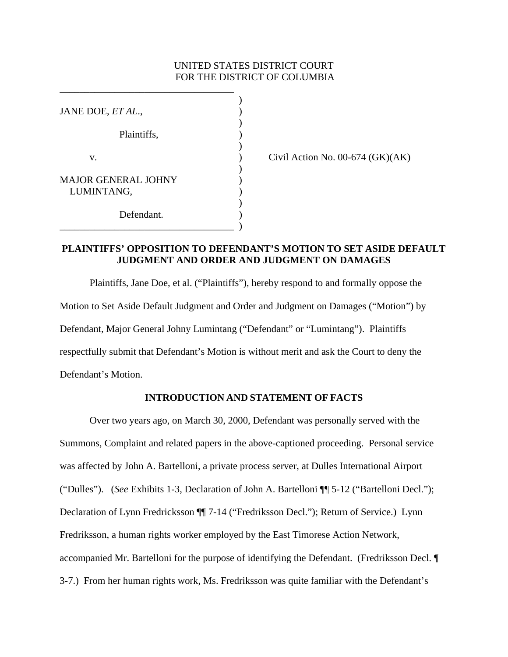### UNITED STATES DISTRICT COURT FOR THE DISTRICT OF COLUMBIA

| JANE DOE, ET AL.,          |  |
|----------------------------|--|
|                            |  |
| Plaintiffs,                |  |
|                            |  |
| v.                         |  |
|                            |  |
| <b>MAJOR GENERAL JOHNY</b> |  |
| LUMINTANG,                 |  |
|                            |  |
| Defendant.                 |  |
|                            |  |

\_\_\_\_\_\_\_\_\_\_\_\_\_\_\_\_\_\_\_\_\_\_\_\_\_\_\_\_\_\_\_\_\_\_\_

Civil Action No.  $00-674$  (GK)(AK)

## **PLAINTIFFS' OPPOSITION TO DEFENDANT'S MOTION TO SET ASIDE DEFAULT JUDGMENT AND ORDER AND JUDGMENT ON DAMAGES**

Plaintiffs, Jane Doe, et al. ("Plaintiffs"), hereby respond to and formally oppose the Motion to Set Aside Default Judgment and Order and Judgment on Damages ("Motion") by Defendant, Major General Johny Lumintang ("Defendant" or "Lumintang"). Plaintiffs respectfully submit that Defendant's Motion is without merit and ask the Court to deny the Defendant's Motion.

#### **INTRODUCTION AND STATEMENT OF FACTS**

 Over two years ago, on March 30, 2000, Defendant was personally served with the Summons, Complaint and related papers in the above-captioned proceeding. Personal service was affected by John A. Bartelloni, a private process server, at Dulles International Airport ("Dulles"). (*See* Exhibits 1-3, Declaration of John A. Bartelloni ¶¶ 5-12 ("Bartelloni Decl."); Declaration of Lynn Fredricksson ¶¶ 7-14 ("Fredriksson Decl."); Return of Service.) Lynn Fredriksson, a human rights worker employed by the East Timorese Action Network, accompanied Mr. Bartelloni for the purpose of identifying the Defendant. (Fredriksson Decl. ¶ 3-7.) From her human rights work, Ms. Fredriksson was quite familiar with the Defendant's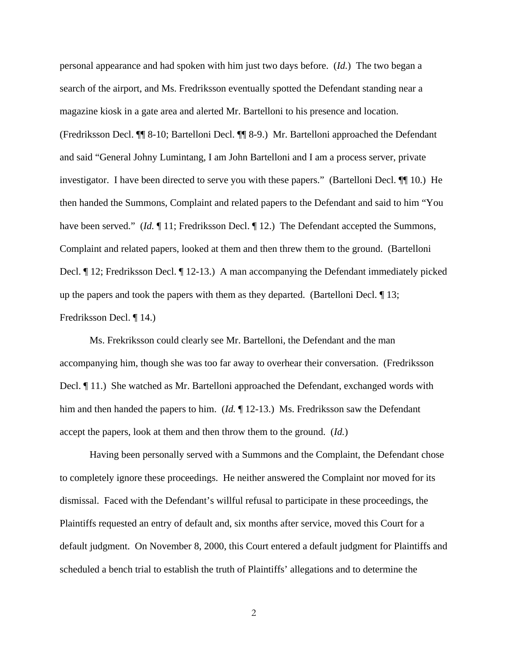personal appearance and had spoken with him just two days before. (*Id.*) The two began a search of the airport, and Ms. Fredriksson eventually spotted the Defendant standing near a magazine kiosk in a gate area and alerted Mr. Bartelloni to his presence and location. (Fredriksson Decl. ¶¶ 8-10; Bartelloni Decl. ¶¶ 8-9.) Mr. Bartelloni approached the Defendant and said "General Johny Lumintang, I am John Bartelloni and I am a process server, private investigator. I have been directed to serve you with these papers." (Bartelloni Decl. ¶¶ 10.) He then handed the Summons, Complaint and related papers to the Defendant and said to him "You have been served." (*Id.* 11; Fredriksson Decl. 112.) The Defendant accepted the Summons, Complaint and related papers, looked at them and then threw them to the ground. (Bartelloni Decl. ¶ 12; Fredriksson Decl. ¶ 12-13.) A man accompanying the Defendant immediately picked up the papers and took the papers with them as they departed. (Bartelloni Decl. ¶ 13; Fredriksson Decl. ¶ 14.)

 Ms. Frekriksson could clearly see Mr. Bartelloni, the Defendant and the man accompanying him, though she was too far away to overhear their conversation. (Fredriksson Decl. ¶ 11.) She watched as Mr. Bartelloni approached the Defendant, exchanged words with him and then handed the papers to him. (*Id.* ¶ 12-13.) Ms. Fredriksson saw the Defendant accept the papers, look at them and then throw them to the ground. (*Id.*)

Having been personally served with a Summons and the Complaint, the Defendant chose to completely ignore these proceedings. He neither answered the Complaint nor moved for its dismissal. Faced with the Defendant's willful refusal to participate in these proceedings, the Plaintiffs requested an entry of default and, six months after service, moved this Court for a default judgment. On November 8, 2000, this Court entered a default judgment for Plaintiffs and scheduled a bench trial to establish the truth of Plaintiffs' allegations and to determine the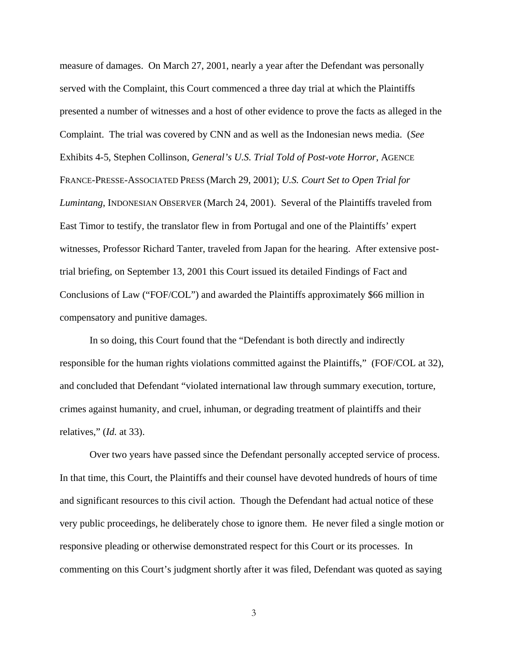measure of damages. On March 27, 2001, nearly a year after the Defendant was personally served with the Complaint, this Court commenced a three day trial at which the Plaintiffs presented a number of witnesses and a host of other evidence to prove the facts as alleged in the Complaint. The trial was covered by CNN and as well as the Indonesian news media. (*See*  Exhibits 4-5, Stephen Collinson, *General's U.S. Trial Told of Post-vote Horror*, AGENCE FRANCE-PRESSE-ASSOCIATED PRESS (March 29, 2001); *U.S. Court Set to Open Trial for Lumintang*, INDONESIAN OBSERVER (March 24, 2001). Several of the Plaintiffs traveled from East Timor to testify, the translator flew in from Portugal and one of the Plaintiffs' expert witnesses, Professor Richard Tanter, traveled from Japan for the hearing. After extensive posttrial briefing, on September 13, 2001 this Court issued its detailed Findings of Fact and Conclusions of Law ("FOF/COL") and awarded the Plaintiffs approximately \$66 million in compensatory and punitive damages.

In so doing, this Court found that the "Defendant is both directly and indirectly responsible for the human rights violations committed against the Plaintiffs," (FOF/COL at 32), and concluded that Defendant "violated international law through summary execution, torture, crimes against humanity, and cruel, inhuman, or degrading treatment of plaintiffs and their relatives," (*Id.* at 33).

Over two years have passed since the Defendant personally accepted service of process. In that time, this Court, the Plaintiffs and their counsel have devoted hundreds of hours of time and significant resources to this civil action. Though the Defendant had actual notice of these very public proceedings, he deliberately chose to ignore them. He never filed a single motion or responsive pleading or otherwise demonstrated respect for this Court or its processes. In commenting on this Court's judgment shortly after it was filed, Defendant was quoted as saying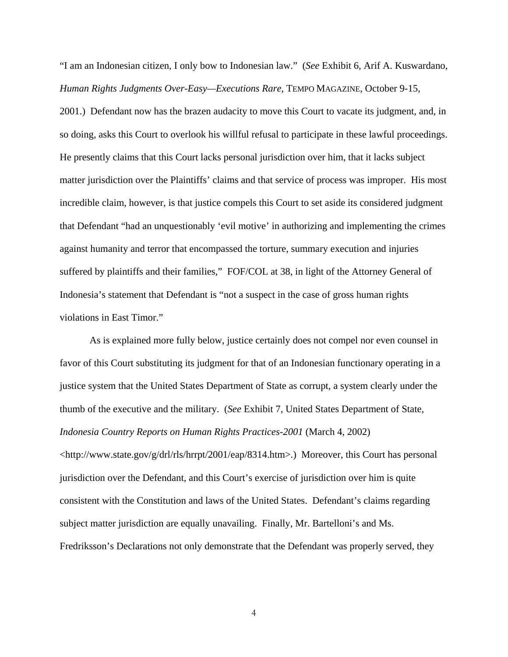"I am an Indonesian citizen, I only bow to Indonesian law." (*See* Exhibit 6, Arif A. Kuswardano, *Human Rights Judgments Over-Easy—Executions Rare*, TEMPO MAGAZINE, October 9-15,

2001.) Defendant now has the brazen audacity to move this Court to vacate its judgment, and, in so doing, asks this Court to overlook his willful refusal to participate in these lawful proceedings. He presently claims that this Court lacks personal jurisdiction over him, that it lacks subject matter jurisdiction over the Plaintiffs' claims and that service of process was improper. His most incredible claim, however, is that justice compels this Court to set aside its considered judgment that Defendant "had an unquestionably 'evil motive' in authorizing and implementing the crimes against humanity and terror that encompassed the torture, summary execution and injuries suffered by plaintiffs and their families," FOF/COL at 38, in light of the Attorney General of Indonesia's statement that Defendant is "not a suspect in the case of gross human rights violations in East Timor."

As is explained more fully below, justice certainly does not compel nor even counsel in favor of this Court substituting its judgment for that of an Indonesian functionary operating in a justice system that the United States Department of State as corrupt, a system clearly under the thumb of the executive and the military. (*See* Exhibit 7, United States Department of State, *Indonesia Country Reports on Human Rights Practices-2001* (March 4, 2002) <http://www.state.gov/g/drl/rls/hrrpt/2001/eap/8314.htm>.) Moreover, this Court has personal jurisdiction over the Defendant, and this Court's exercise of jurisdiction over him is quite consistent with the Constitution and laws of the United States. Defendant's claims regarding subject matter jurisdiction are equally unavailing. Finally, Mr. Bartelloni's and Ms. Fredriksson's Declarations not only demonstrate that the Defendant was properly served, they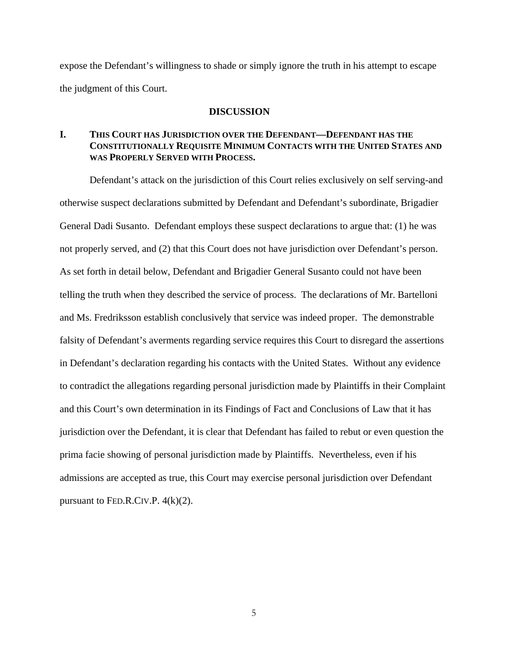expose the Defendant's willingness to shade or simply ignore the truth in his attempt to escape the judgment of this Court.

#### **DISCUSSION**

## **I. THIS COURT HAS JURISDICTION OVER THE DEFENDANT—DEFENDANT HAS THE CONSTITUTIONALLY REQUISITE MINIMUM CONTACTS WITH THE UNITED STATES AND WAS PROPERLY SERVED WITH PROCESS.**

Defendant's attack on the jurisdiction of this Court relies exclusively on self serving-and otherwise suspect declarations submitted by Defendant and Defendant's subordinate, Brigadier General Dadi Susanto. Defendant employs these suspect declarations to argue that: (1) he was not properly served, and (2) that this Court does not have jurisdiction over Defendant's person. As set forth in detail below, Defendant and Brigadier General Susanto could not have been telling the truth when they described the service of process. The declarations of Mr. Bartelloni and Ms. Fredriksson establish conclusively that service was indeed proper. The demonstrable falsity of Defendant's averments regarding service requires this Court to disregard the assertions in Defendant's declaration regarding his contacts with the United States. Without any evidence to contradict the allegations regarding personal jurisdiction made by Plaintiffs in their Complaint and this Court's own determination in its Findings of Fact and Conclusions of Law that it has jurisdiction over the Defendant, it is clear that Defendant has failed to rebut or even question the prima facie showing of personal jurisdiction made by Plaintiffs. Nevertheless, even if his admissions are accepted as true, this Court may exercise personal jurisdiction over Defendant pursuant to FED.R.CIV.P.  $4(k)(2)$ .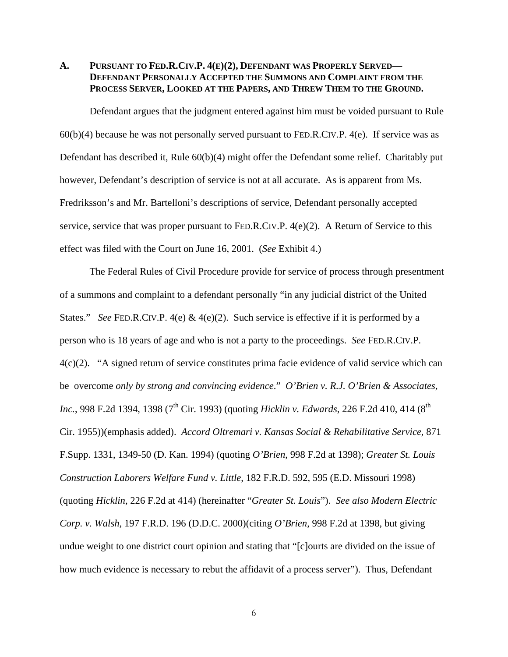## **A. PURSUANT TO FED.R.CIV.P. 4(E)(2), DEFENDANT WAS PROPERLY SERVED— DEFENDANT PERSONALLY ACCEPTED THE SUMMONS AND COMPLAINT FROM THE PROCESS SERVER, LOOKED AT THE PAPERS, AND THREW THEM TO THE GROUND.**

 Defendant argues that the judgment entered against him must be voided pursuant to Rule 60(b)(4) because he was not personally served pursuant to FED.R.CIV.P. 4(e). If service was as Defendant has described it, Rule 60(b)(4) might offer the Defendant some relief. Charitably put however, Defendant's description of service is not at all accurate. As is apparent from Ms. Fredriksson's and Mr. Bartelloni's descriptions of service, Defendant personally accepted service, service that was proper pursuant to FED.R.CIV.P. 4(e)(2). A Return of Service to this effect was filed with the Court on June 16, 2001. (*See* Exhibit 4.)

 The Federal Rules of Civil Procedure provide for service of process through presentment of a summons and complaint to a defendant personally "in any judicial district of the United States." *See* FED.R.CIV.P. 4(e) & 4(e)(2). Such service is effective if it is performed by a person who is 18 years of age and who is not a party to the proceedings. *See* FED.R.CIV.P. 4(c)(2). "A signed return of service constitutes prima facie evidence of valid service which can be overcome *only by strong and convincing evidence*." *O'Brien v. R.J. O'Brien & Associates, Inc.*, 998 F.2d 1394, 1398 (7<sup>th</sup> Cir. 1993) (quoting *Hicklin v. Edwards*, 226 F.2d 410, 414 (8<sup>th</sup> Cir. 1955))(emphasis added). *Accord Oltremari v. Kansas Social & Rehabilitative Service*, 871 F.Supp. 1331, 1349-50 (D. Kan. 1994) (quoting *O'Brien*, 998 F.2d at 1398); *Greater St. Louis Construction Laborers Welfare Fund v. Little*, 182 F.R.D. 592, 595 (E.D. Missouri 1998) (quoting *Hicklin*, 226 F.2d at 414) (hereinafter "*Greater St. Louis*"). *See also Modern Electric Corp. v. Walsh*, 197 F.R.D. 196 (D.D.C. 2000)(citing *O'Brien*, 998 F.2d at 1398, but giving undue weight to one district court opinion and stating that "[c]ourts are divided on the issue of how much evidence is necessary to rebut the affidavit of a process server"). Thus, Defendant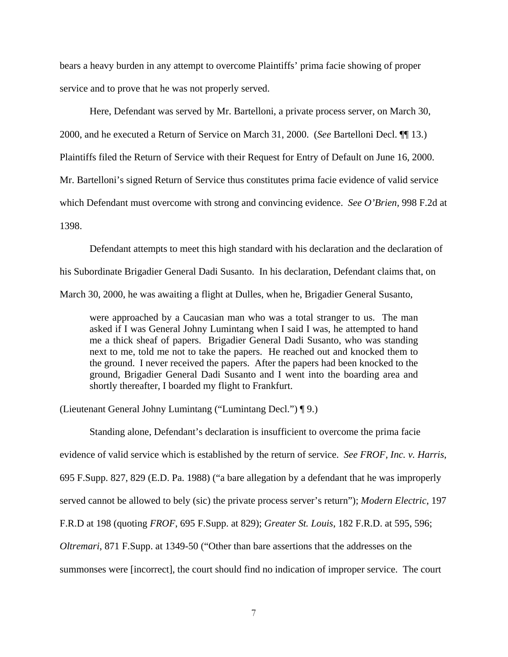bears a heavy burden in any attempt to overcome Plaintiffs' prima facie showing of proper service and to prove that he was not properly served.

Here, Defendant was served by Mr. Bartelloni, a private process server, on March 30, 2000, and he executed a Return of Service on March 31, 2000. (*See* Bartelloni Decl. ¶¶ 13.) Plaintiffs filed the Return of Service with their Request for Entry of Default on June 16, 2000. Mr. Bartelloni's signed Return of Service thus constitutes prima facie evidence of valid service which Defendant must overcome with strong and convincing evidence. *See O'Brien,* 998 F.2d at 1398.

Defendant attempts to meet this high standard with his declaration and the declaration of his Subordinate Brigadier General Dadi Susanto. In his declaration, Defendant claims that, on March 30, 2000, he was awaiting a flight at Dulles, when he, Brigadier General Susanto,

were approached by a Caucasian man who was a total stranger to us. The man asked if I was General Johny Lumintang when I said I was, he attempted to hand me a thick sheaf of papers. Brigadier General Dadi Susanto, who was standing next to me, told me not to take the papers. He reached out and knocked them to the ground. I never received the papers. After the papers had been knocked to the ground, Brigadier General Dadi Susanto and I went into the boarding area and shortly thereafter, I boarded my flight to Frankfurt.

(Lieutenant General Johny Lumintang ("Lumintang Decl.") ¶ 9.)

Standing alone, Defendant's declaration is insufficient to overcome the prima facie evidence of valid service which is established by the return of service. *See FROF, Inc. v. Harris*, 695 F.Supp. 827, 829 (E.D. Pa. 1988) ("a bare allegation by a defendant that he was improperly served cannot be allowed to bely (sic) the private process server's return"); *Modern Electric*, 197 F.R.D at 198 (quoting *FROF*, 695 F.Supp. at 829); *Greater St. Louis*, 182 F.R.D. at 595, 596; *Oltremari*, 871 F.Supp. at 1349-50 ("Other than bare assertions that the addresses on the summonses were [incorrect], the court should find no indication of improper service. The court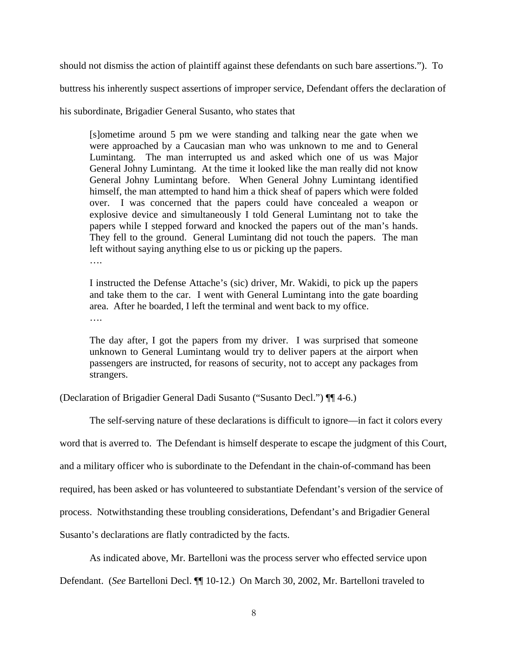should not dismiss the action of plaintiff against these defendants on such bare assertions."). To

buttress his inherently suspect assertions of improper service, Defendant offers the declaration of

his subordinate, Brigadier General Susanto, who states that

[s]ometime around 5 pm we were standing and talking near the gate when we were approached by a Caucasian man who was unknown to me and to General Lumintang. The man interrupted us and asked which one of us was Major General Johny Lumintang. At the time it looked like the man really did not know General Johny Lumintang before. When General Johny Lumintang identified himself, the man attempted to hand him a thick sheaf of papers which were folded over. I was concerned that the papers could have concealed a weapon or explosive device and simultaneously I told General Lumintang not to take the papers while I stepped forward and knocked the papers out of the man's hands. They fell to the ground. General Lumintang did not touch the papers. The man left without saying anything else to us or picking up the papers.

….

I instructed the Defense Attache's (sic) driver, Mr. Wakidi, to pick up the papers and take them to the car. I went with General Lumintang into the gate boarding area. After he boarded, I left the terminal and went back to my office. ….

The day after, I got the papers from my driver. I was surprised that someone unknown to General Lumintang would try to deliver papers at the airport when passengers are instructed, for reasons of security, not to accept any packages from strangers.

(Declaration of Brigadier General Dadi Susanto ("Susanto Decl.") ¶¶ 4-6.)

The self-serving nature of these declarations is difficult to ignore—in fact it colors every

word that is averred to. The Defendant is himself desperate to escape the judgment of this Court,

and a military officer who is subordinate to the Defendant in the chain-of-command has been

required, has been asked or has volunteered to substantiate Defendant's version of the service of

process. Notwithstanding these troubling considerations, Defendant's and Brigadier General

Susanto's declarations are flatly contradicted by the facts.

As indicated above, Mr. Bartelloni was the process server who effected service upon

Defendant. (*See* Bartelloni Decl. ¶¶ 10-12.) On March 30, 2002, Mr. Bartelloni traveled to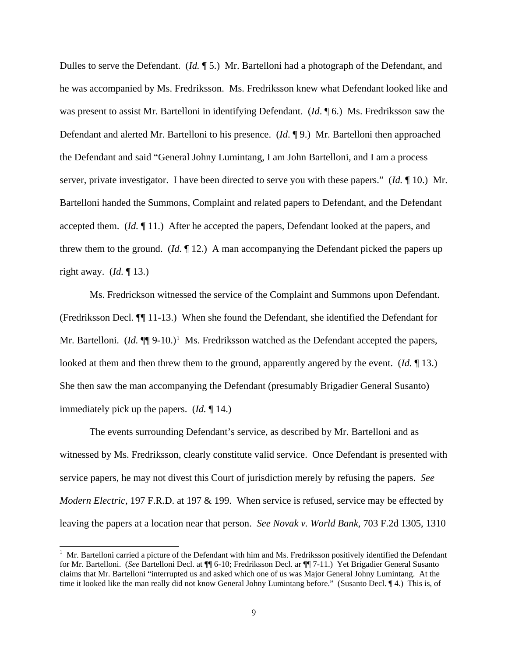Dulles to serve the Defendant. (*Id.* ¶ 5.) Mr. Bartelloni had a photograph of the Defendant, and he was accompanied by Ms. Fredriksson. Ms. Fredriksson knew what Defendant looked like and was present to assist Mr. Bartelloni in identifying Defendant. (*Id*. ¶ 6.) Ms. Fredriksson saw the Defendant and alerted Mr. Bartelloni to his presence. (*Id*. ¶ 9.) Mr. Bartelloni then approached the Defendant and said "General Johny Lumintang, I am John Bartelloni, and I am a process server, private investigator. I have been directed to serve you with these papers." (*Id.* ¶ 10.) Mr. Bartelloni handed the Summons, Complaint and related papers to Defendant, and the Defendant accepted them. (*Id.* ¶ 11.) After he accepted the papers, Defendant looked at the papers, and threw them to the ground. (*Id.* ¶ 12.) A man accompanying the Defendant picked the papers up right away. (*Id.* ¶ 13.)

Ms. Fredrickson witnessed the service of the Complaint and Summons upon Defendant. (Fredriksson Decl. ¶¶ 11-13.) When she found the Defendant, she identified the Defendant for Mr. Bartelloni. (*Id.*  $\P$ ] 9-[1](#page-8-0)0.)<sup>1</sup> Ms. Fredriksson watched as the Defendant accepted the papers, looked at them and then threw them to the ground, apparently angered by the event. (*Id.* ¶ 13.) She then saw the man accompanying the Defendant (presumably Brigadier General Susanto) immediately pick up the papers. (*Id.* ¶ 14.)

 The events surrounding Defendant's service, as described by Mr. Bartelloni and as witnessed by Ms. Fredriksson, clearly constitute valid service. Once Defendant is presented with service papers, he may not divest this Court of jurisdiction merely by refusing the papers. *See Modern Electric*, 197 F.R.D. at 197 & 199. When service is refused, service may be effected by leaving the papers at a location near that person. *See Novak v. World Bank*, 703 F.2d 1305, 1310

<span id="page-8-0"></span> $1$  Mr. Bartelloni carried a picture of the Defendant with him and Ms. Fredriksson positively identified the Defendant for Mr. Bartelloni. (*See* Bartelloni Decl. at ¶¶ 6-10; Fredriksson Decl. ar ¶¶ 7-11.) Yet Brigadier General Susanto claims that Mr. Bartelloni "interrupted us and asked which one of us was Major General Johny Lumintang. At the time it looked like the man really did not know General Johny Lumintang before." (Susanto Decl. ¶ 4.) This is, of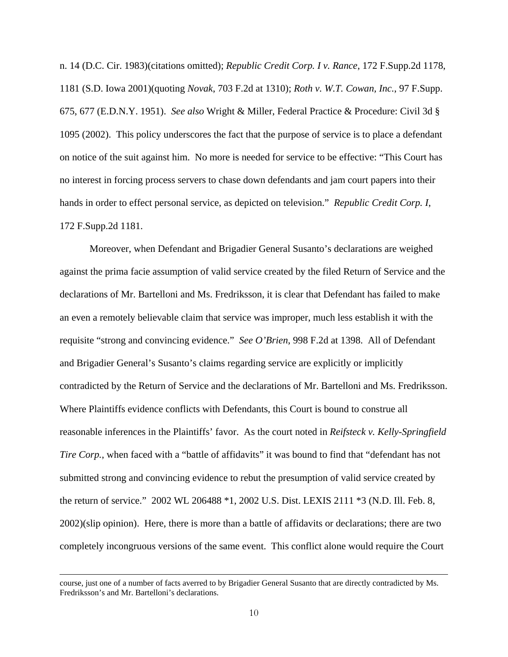n. 14 (D.C. Cir. 1983)(citations omitted); *Republic Credit Corp. I v. Rance*, 172 F.Supp.2d 1178, 1181 (S.D. Iowa 2001)(quoting *Novak*, 703 F.2d at 1310); *Roth v. W.T. Cowan, Inc.*, 97 F.Supp. 675, 677 (E.D.N.Y. 1951). *See also* Wright & Miller, Federal Practice & Procedure: Civil 3d § 1095 (2002). This policy underscores the fact that the purpose of service is to place a defendant on notice of the suit against him. No more is needed for service to be effective: "This Court has no interest in forcing process servers to chase down defendants and jam court papers into their hands in order to effect personal service, as depicted on television." *Republic Credit Corp. I*, 172 F.Supp.2d 1181.

Moreover, when Defendant and Brigadier General Susanto's declarations are weighed against the prima facie assumption of valid service created by the filed Return of Service and the declarations of Mr. Bartelloni and Ms. Fredriksson, it is clear that Defendant has failed to make an even a remotely believable claim that service was improper, much less establish it with the requisite "strong and convincing evidence." *See O'Brien*, 998 F.2d at 1398. All of Defendant and Brigadier General's Susanto's claims regarding service are explicitly or implicitly contradicted by the Return of Service and the declarations of Mr. Bartelloni and Ms. Fredriksson. Where Plaintiffs evidence conflicts with Defendants, this Court is bound to construe all reasonable inferences in the Plaintiffs' favor. As the court noted in *Reifsteck v. Kelly-Springfield Tire Corp.*, when faced with a "battle of affidavits" it was bound to find that "defendant has not submitted strong and convincing evidence to rebut the presumption of valid service created by the return of service." 2002 WL 206488 \*1, 2002 U.S. Dist. LEXIS 2111 \*3 (N.D. Ill. Feb. 8, 2002)(slip opinion). Here, there is more than a battle of affidavits or declarations; there are two completely incongruous versions of the same event. This conflict alone would require the Court

course, just one of a number of facts averred to by Brigadier General Susanto that are directly contradicted by Ms. Fredriksson's and Mr. Bartelloni's declarations.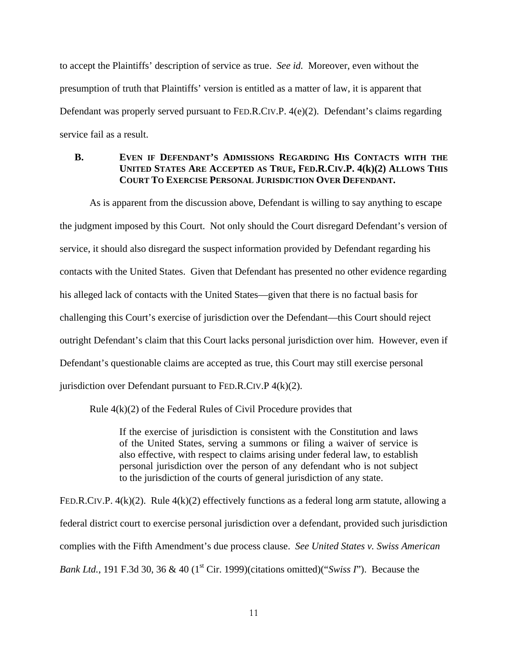to accept the Plaintiffs' description of service as true. *See id.* Moreover, even without the presumption of truth that Plaintiffs' version is entitled as a matter of law, it is apparent that Defendant was properly served pursuant to FED.R.CIV.P. 4(e)(2). Defendant's claims regarding service fail as a result.

## **B. EVEN IF DEFENDANT'S ADMISSIONS REGARDING HIS CONTACTS WITH THE UNITED STATES ARE ACCEPTED AS TRUE, FED.R.CIV.P. 4(k)(2) ALLOWS THIS COURT TO EXERCISE PERSONAL JURISDICTION OVER DEFENDANT.**

 As is apparent from the discussion above, Defendant is willing to say anything to escape the judgment imposed by this Court. Not only should the Court disregard Defendant's version of service, it should also disregard the suspect information provided by Defendant regarding his contacts with the United States. Given that Defendant has presented no other evidence regarding his alleged lack of contacts with the United States—given that there is no factual basis for challenging this Court's exercise of jurisdiction over the Defendant—this Court should reject outright Defendant's claim that this Court lacks personal jurisdiction over him. However, even if Defendant's questionable claims are accepted as true, this Court may still exercise personal jurisdiction over Defendant pursuant to FED.R.CIV.P  $4(k)(2)$ .

Rule 4(k)(2) of the Federal Rules of Civil Procedure provides that

If the exercise of jurisdiction is consistent with the Constitution and laws of the United States, serving a summons or filing a waiver of service is also effective, with respect to claims arising under federal law, to establish personal jurisdiction over the person of any defendant who is not subject to the jurisdiction of the courts of general jurisdiction of any state.

FED.R.CIV.P.  $4(k)(2)$ . Rule  $4(k)(2)$  effectively functions as a federal long arm statute, allowing a federal district court to exercise personal jurisdiction over a defendant, provided such jurisdiction complies with the Fifth Amendment's due process clause. *See United States v. Swiss American Bank Ltd.*, 191 F.3d 30, 36 & 40 (1<sup>st</sup> Cir. 1999)(citations omitted)("*Swiss I*"). Because the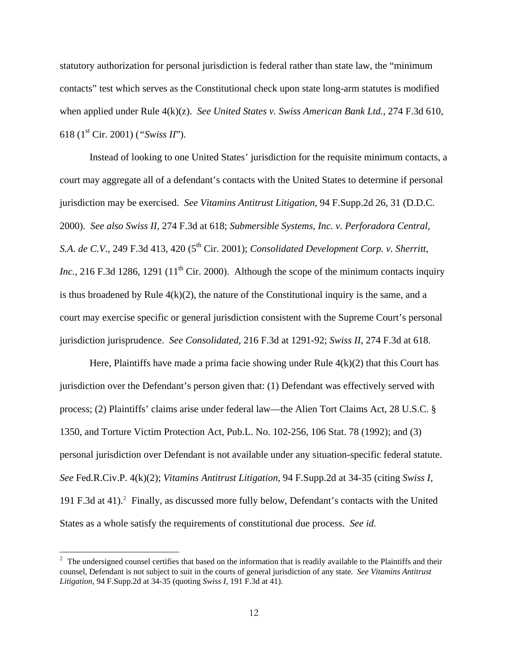statutory authorization for personal jurisdiction is federal rather than state law, the "minimum contacts" test which serves as the Constitutional check upon state long-arm statutes is modified when applied under Rule 4(k)(z). *See United States v. Swiss American Bank Ltd.*, 274 F.3d 610, 618 (1st Cir. 2001) (*"Swiss II*").

 Instead of looking to one United States' jurisdiction for the requisite minimum contacts, a court may aggregate all of a defendant's contacts with the United States to determine if personal jurisdiction may be exercised. *See Vitamins Antitrust Litigation*, 94 F.Supp.2d 26, 31 (D.D.C. 2000). *See also Swiss II*, 274 F.3d at 618; *Submersible Systems, Inc. v. Perforadora Central, S.A. de C.V.*, 249 F.3d 413, 420 (5<sup>th</sup> Cir. 2001); *Consolidated Development Corp. v. Sherritt, Inc.*, 216 F.3d 1286, 1291 ( $11<sup>th</sup>$  Cir. 2000). Although the scope of the minimum contacts inquiry is thus broadened by Rule  $4(k)(2)$ , the nature of the Constitutional inquiry is the same, and a court may exercise specific or general jurisdiction consistent with the Supreme Court's personal jurisdiction jurisprudence. *See Consolidated*, 216 F.3d at 1291-92; *Swiss II*, 274 F.3d at 618.

Here, Plaintiffs have made a prima facie showing under Rule  $4(k)(2)$  that this Court has jurisdiction over the Defendant's person given that: (1) Defendant was effectively served with process; (2) Plaintiffs' claims arise under federal law—the Alien Tort Claims Act, 28 U.S.C. § 1350, and Torture Victim Protection Act, Pub.L. No. 102-256, 106 Stat. 78 (1992); and (3) personal jurisdiction over Defendant is not available under any situation-specific federal statute. *See* Fed.R.Civ.P. 4(k)(2); *Vitamins Antitrust Litigation*, 94 F.Supp.2d at 34-35 (citing *Swiss I*, 191 F.3d at 41).<sup>[2](#page-11-0)</sup> Finally, as discussed more fully below, Defendant's contacts with the United States as a whole satisfy the requirements of constitutional due process. *See id.*

<span id="page-11-0"></span> $2<sup>2</sup>$  The undersigned counsel certifies that based on the information that is readily available to the Plaintiffs and their counsel, Defendant is not subject to suit in the courts of general jurisdiction of any state. *See Vitamins Antitrust Litigation*, 94 F.Supp.2d at 34-35 (quoting *Swiss I*, 191 F.3d at 41).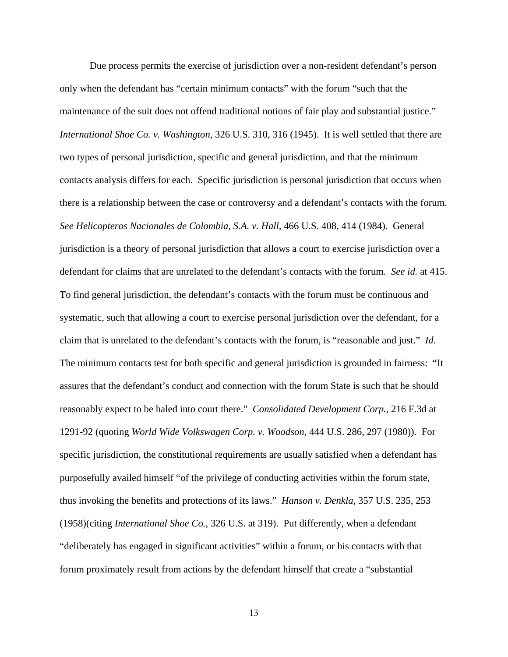Due process permits the exercise of jurisdiction over a non-resident defendant's person only when the defendant has "certain minimum contacts" with the forum "such that the maintenance of the suit does not offend traditional notions of fair play and substantial justice." *International Shoe Co. v. Washington*, 326 U.S. 310, 316 (1945). It is well settled that there are two types of personal jurisdiction, specific and general jurisdiction, and that the minimum contacts analysis differs for each. Specific jurisdiction is personal jurisdiction that occurs when there is a relationship between the case or controversy and a defendant's contacts with the forum. *See Helicopteros Nacionales de Colombia, S.A. v. Hall*, 466 U.S. 408, 414 (1984). General jurisdiction is a theory of personal jurisdiction that allows a court to exercise jurisdiction over a defendant for claims that are unrelated to the defendant's contacts with the forum. *See id.* at 415. To find general jurisdiction, the defendant's contacts with the forum must be continuous and systematic, such that allowing a court to exercise personal jurisdiction over the defendant, for a claim that is unrelated to the defendant's contacts with the forum, is "reasonable and just." *Id.* The minimum contacts test for both specific and general jurisdiction is grounded in fairness: "It assures that the defendant's conduct and connection with the forum State is such that he should reasonably expect to be haled into court there." *Consolidated Development Corp.*, 216 F.3d at 1291-92 (quoting *World Wide Volkswagen Corp. v. Woodson*, 444 U.S. 286, 297 (1980)). For specific jurisdiction, the constitutional requirements are usually satisfied when a defendant has purposefully availed himself "of the privilege of conducting activities within the forum state, thus invoking the benefits and protections of its laws." *Hanson v. Denkla*, 357 U.S. 235, 253 (1958)(citing *International Shoe Co.*, 326 U.S. at 319). Put differently, when a defendant "deliberately has engaged in significant activities" within a forum, or his contacts with that forum proximately result from actions by the defendant himself that create a "substantial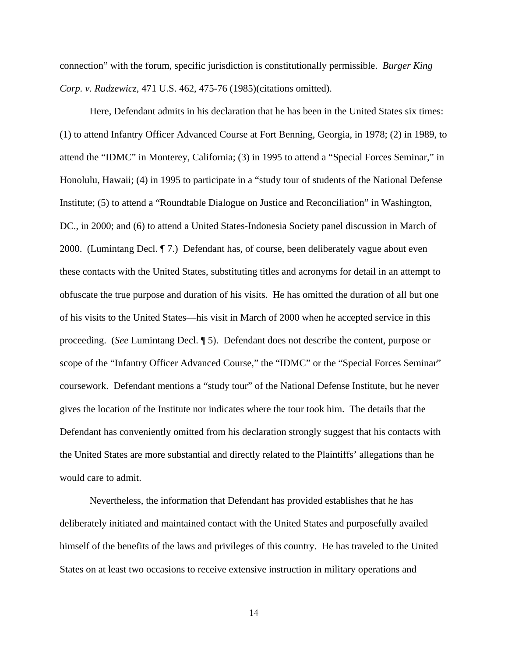connection" with the forum, specific jurisdiction is constitutionally permissible. *Burger King Corp. v. Rudzewicz*, 471 U.S. 462, 475-76 (1985)(citations omitted).

 Here, Defendant admits in his declaration that he has been in the United States six times: (1) to attend Infantry Officer Advanced Course at Fort Benning, Georgia, in 1978; (2) in 1989, to attend the "IDMC" in Monterey, California; (3) in 1995 to attend a "Special Forces Seminar," in Honolulu, Hawaii; (4) in 1995 to participate in a "study tour of students of the National Defense Institute; (5) to attend a "Roundtable Dialogue on Justice and Reconciliation" in Washington, DC., in 2000; and (6) to attend a United States-Indonesia Society panel discussion in March of 2000. (Lumintang Decl. ¶ 7.) Defendant has, of course, been deliberately vague about even these contacts with the United States, substituting titles and acronyms for detail in an attempt to obfuscate the true purpose and duration of his visits. He has omitted the duration of all but one of his visits to the United States—his visit in March of 2000 when he accepted service in this proceeding. (*See* Lumintang Decl. ¶ 5). Defendant does not describe the content, purpose or scope of the "Infantry Officer Advanced Course," the "IDMC" or the "Special Forces Seminar" coursework. Defendant mentions a "study tour" of the National Defense Institute, but he never gives the location of the Institute nor indicates where the tour took him. The details that the Defendant has conveniently omitted from his declaration strongly suggest that his contacts with the United States are more substantial and directly related to the Plaintiffs' allegations than he would care to admit.

 Nevertheless, the information that Defendant has provided establishes that he has deliberately initiated and maintained contact with the United States and purposefully availed himself of the benefits of the laws and privileges of this country. He has traveled to the United States on at least two occasions to receive extensive instruction in military operations and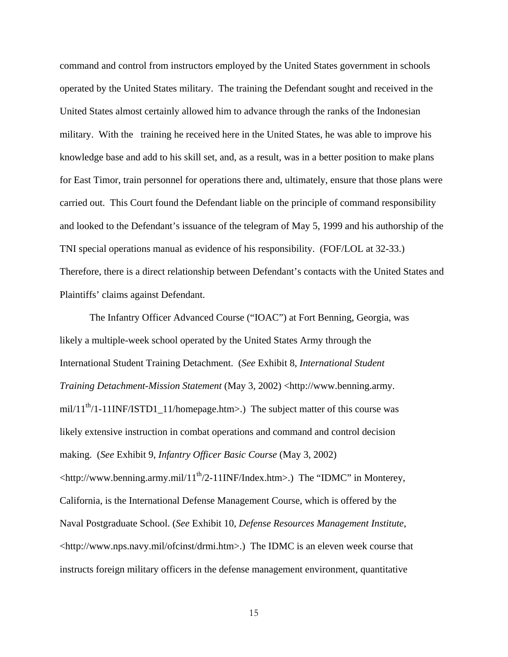command and control from instructors employed by the United States government in schools operated by the United States military. The training the Defendant sought and received in the United States almost certainly allowed him to advance through the ranks of the Indonesian military. With the training he received here in the United States, he was able to improve his knowledge base and add to his skill set, and, as a result, was in a better position to make plans for East Timor, train personnel for operations there and, ultimately, ensure that those plans were carried out. This Court found the Defendant liable on the principle of command responsibility and looked to the Defendant's issuance of the telegram of May 5, 1999 and his authorship of the TNI special operations manual as evidence of his responsibility. (FOF/LOL at 32-33.) Therefore, there is a direct relationship between Defendant's contacts with the United States and Plaintiffs' claims against Defendant.

 The Infantry Officer Advanced Course ("IOAC") at Fort Benning, Georgia, was likely a multiple-week school operated by the United States Army through the International Student Training Detachment. (*See* Exhibit 8, *International Student Training Detachment-Mission Statement* (May 3, 2002) <http://www.benning.army. mil/11<sup>th</sup>/1-11INF/ISTD1\_11/homepage.htm>.) The subject matter of this course was likely extensive instruction in combat operations and command and control decision making. (*See* Exhibit 9, *Infantry Officer Basic Course* (May 3, 2002)  $\lt$ http://www.benning.army.mil/11<sup>th</sup>/2-11INF/Index.htm>.) The "IDMC" in Monterey, California, is the International Defense Management Course, which is offered by the Naval Postgraduate School. (*See* Exhibit 10, *Defense Resources Management Institute*,  $\lt$ http://www.nps.navy.mil/ofcinst/drmi.htm>.) The IDMC is an eleven week course that instructs foreign military officers in the defense management environment, quantitative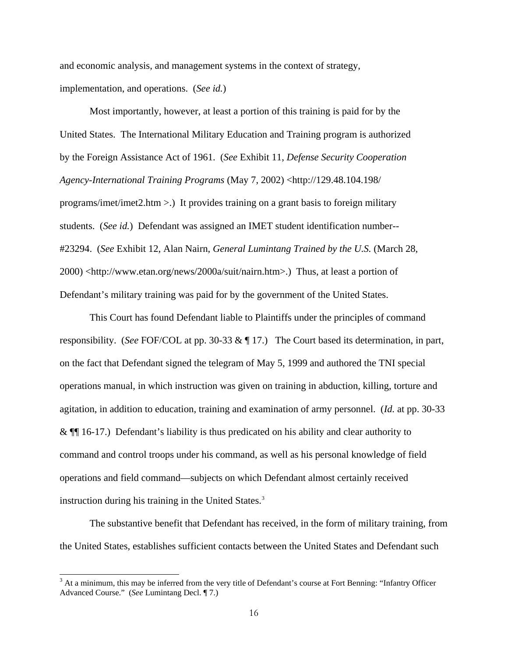and economic analysis, and management systems in the context of strategy, implementation, and operations. (*See id.*)

 Most importantly, however, at least a portion of this training is paid for by the United States. The International Military Education and Training program is authorized by the Foreign Assistance Act of 1961. (*See* Exhibit 11, *Defense Security Cooperation Agency-International Training Programs* (May 7, 2002) <http://129.48.104.198/ programs/imet/imet2.htm >.) It provides training on a grant basis to foreign military students. (*See id.*) Defendant was assigned an IMET student identification number-- #23294. (*See* Exhibit 12, Alan Nairn, *General Lumintang Trained by the U.S.* (March 28, 2000) <http://www.etan.org/news/2000a/suit/nairn.htm>.) Thus, at least a portion of Defendant's military training was paid for by the government of the United States.

 This Court has found Defendant liable to Plaintiffs under the principles of command responsibility. (*See* FOF/COL at pp. 30-33 & ¶ 17.) The Court based its determination, in part, on the fact that Defendant signed the telegram of May 5, 1999 and authored the TNI special operations manual, in which instruction was given on training in abduction, killing, torture and agitation, in addition to education, training and examination of army personnel. (*Id.* at pp. 30-33 & ¶¶ 16-17.) Defendant's liability is thus predicated on his ability and clear authority to command and control troops under his command, as well as his personal knowledge of field operations and field command—subjects on which Defendant almost certainly received instruction during his training in the United States.<sup>[3](#page-15-0)</sup>

 The substantive benefit that Defendant has received, in the form of military training, from the United States, establishes sufficient contacts between the United States and Defendant such

<span id="page-15-0"></span> $3$  At a minimum, this may be inferred from the very title of Defendant's course at Fort Benning: "Infantry Officer Advanced Course." (*See* Lumintang Decl. ¶ 7.)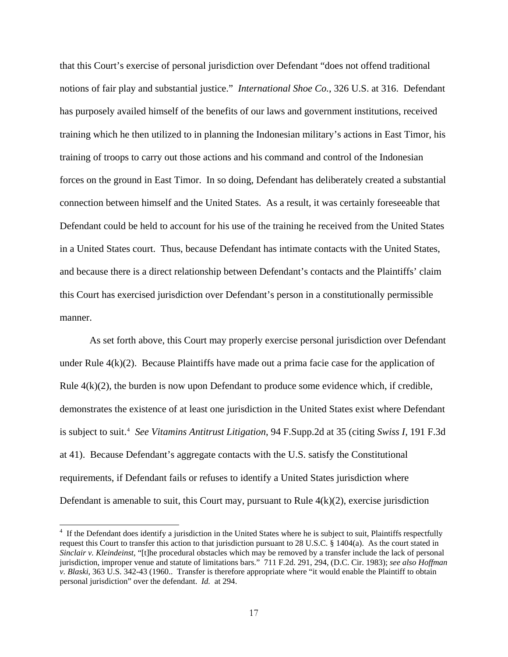that this Court's exercise of personal jurisdiction over Defendant "does not offend traditional notions of fair play and substantial justice." *International Shoe Co.*, 326 U.S. at 316. Defendant has purposely availed himself of the benefits of our laws and government institutions, received training which he then utilized to in planning the Indonesian military's actions in East Timor, his training of troops to carry out those actions and his command and control of the Indonesian forces on the ground in East Timor. In so doing, Defendant has deliberately created a substantial connection between himself and the United States. As a result, it was certainly foreseeable that Defendant could be held to account for his use of the training he received from the United States in a United States court. Thus, because Defendant has intimate contacts with the United States, and because there is a direct relationship between Defendant's contacts and the Plaintiffs' claim this Court has exercised jurisdiction over Defendant's person in a constitutionally permissible manner.

 As set forth above, this Court may properly exercise personal jurisdiction over Defendant under Rule  $4(k)(2)$ . Because Plaintiffs have made out a prima facie case for the application of Rule  $4(k)(2)$ , the burden is now upon Defendant to produce some evidence which, if credible, demonstrates the existence of at least one jurisdiction in the United States exist where Defendant is subject to suit.<sup>[4](#page-16-0)</sup> See Vitamins Antitrust Litigation, 94 F.Supp.2d at 35 (citing Swiss I, 191 F.3d at 41). Because Defendant's aggregate contacts with the U.S. satisfy the Constitutional requirements, if Defendant fails or refuses to identify a United States jurisdiction where Defendant is amenable to suit, this Court may, pursuant to Rule  $4(k)(2)$ , exercise jurisdiction

<span id="page-16-0"></span><sup>&</sup>lt;sup>4</sup> If the Defendant does identify a jurisdiction in the United States where he is subject to suit, Plaintiffs respectfully request this Court to transfer this action to that jurisdiction pursuant to 28 U.S.C. § 1404(a). As the court stated in *Sinclair v. Kleindeinst*, "[t]he procedural obstacles which may be removed by a transfer include the lack of personal jurisdiction, improper venue and statute of limitations bars." 711 F.2d. 291, 294, (D.C. Cir. 1983); *see also Hoffman v. Blaski*, 363 U.S. 342-43 (1960.. Transfer is therefore appropriate where "it would enable the Plaintiff to obtain personal jurisdiction" over the defendant. *Id.* at 294.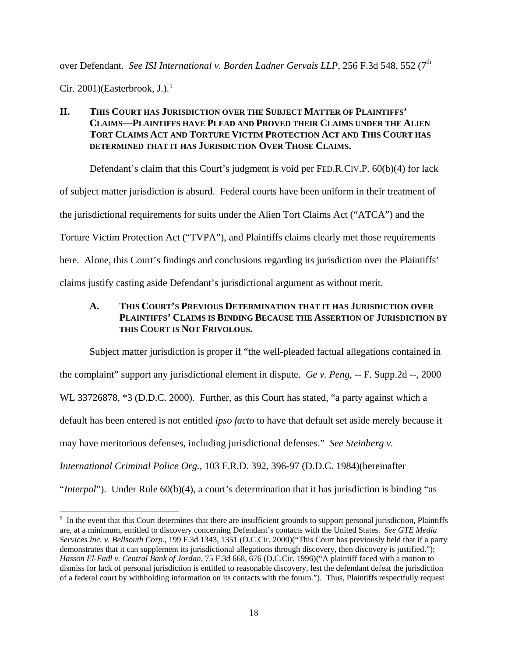over Defendant. *See ISI International v. Borden Ladner Gervais LLP*, 256 F.3d 548, 552 (7<sup>th</sup>

Cir. 2001)(Easterbrook, J.). $5$ 

# **II. THIS COURT HAS JURISDICTION OVER THE SUBJECT MATTER OF PLAINTIFFS' CLAIMS—PLAINTIFFS HAVE PLEAD AND PROVED THEIR CLAIMS UNDER THE ALIEN TORT CLAIMS ACT AND TORTURE VICTIM PROTECTION ACT AND THIS COURT HAS DETERMINED THAT IT HAS JURISDICTION OVER THOSE CLAIMS.**

Defendant's claim that this Court's judgment is void per FED.R.CIV.P. 60(b)(4) for lack of subject matter jurisdiction is absurd. Federal courts have been uniform in their treatment of the jurisdictional requirements for suits under the Alien Tort Claims Act ("ATCA") and the Torture Victim Protection Act ("TVPA"), and Plaintiffs claims clearly met those requirements here. Alone, this Court's findings and conclusions regarding its jurisdiction over the Plaintiffs' claims justify casting aside Defendant's jurisdictional argument as without merit.

# **A. THIS COURT'S PREVIOUS DETERMINATION THAT IT HAS JURISDICTION OVER PLAINTIFFS' CLAIMS IS BINDING BECAUSE THE ASSERTION OF JURISDICTION BY THIS COURT IS NOT FRIVOLOUS.**

Subject matter jurisdiction is proper if "the well-pleaded factual allegations contained in the complaint" support any jurisdictional element in dispute. *Ge v. Peng*, -- F. Supp.2d --, 2000 WL 33726878, \*3 (D.D.C. 2000). Further, as this Court has stated, "a party against which a default has been entered is not entitled *ipso facto* to have that default set aside merely because it may have meritorious defenses, including jurisdictional defenses." *See Steinberg v. International Criminal Police Org.*, 103 F.R.D. 392, 396-97 (D.D.C. 1984)(hereinafter "*Interpol*"). Under Rule 60(b)(4), a court's determination that it has jurisdiction is binding "as

<span id="page-17-0"></span><sup>&</sup>lt;sup>5</sup> In the event that this Court determines that there are insufficient grounds to support personal jurisdiction, Plaintiffs are, at a minimum, entitled to discovery concerning Defendant's contacts with the United States. *See GTE Media Services Inc. v. Bellsouth Corp.*, 199 F.3d 1343, 1351 (D.C.Cir. 2000)("This Court has previously held that if a party demonstrates that it can supplement its jurisdictional allegations through discovery, then discovery is justified."); *Hasson El-Fadl v. Central Bank of Jordan*, 75 F.3d 668, 676 (D.C.Cir. 1996)("A plaintiff faced with a motion to dismiss for lack of personal jurisdiction is entitled to reasonable discovery, lest the defendant defeat the jurisdiction of a federal court by withholding information on its contacts with the forum."). Thus, Plaintiffs respectfully request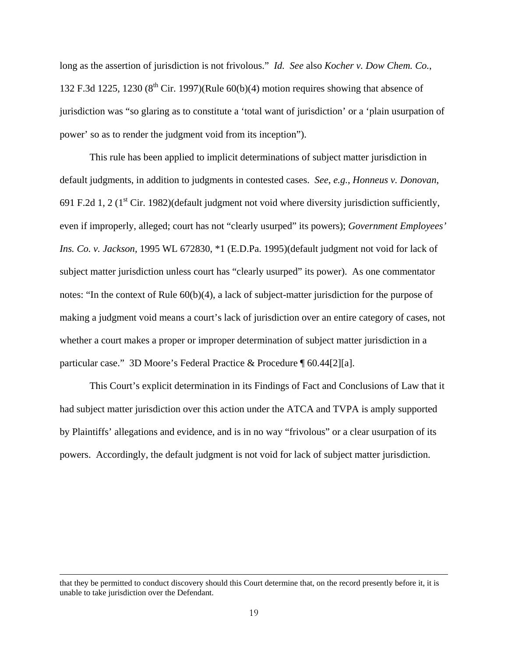long as the assertion of jurisdiction is not frivolous." *Id. See* also *Kocher v. Dow Chem. Co.*, 132 F.3d 1225, 1230  $(8^{th}$  Cir. 1997)(Rule 60(b)(4) motion requires showing that absence of jurisdiction was "so glaring as to constitute a 'total want of jurisdiction' or a 'plain usurpation of power' so as to render the judgment void from its inception").

This rule has been applied to implicit determinations of subject matter jurisdiction in default judgments, in addition to judgments in contested cases. *See*, *e.g.*, *Honneus v. Donovan*, 691 F.2d 1, 2 ( $1<sup>st</sup>$  Cir. 1982)(default judgment not void where diversity jurisdiction sufficiently, even if improperly, alleged; court has not "clearly usurped" its powers); *Government Employees' Ins. Co. v. Jackson*, 1995 WL 672830, \*1 (E.D.Pa. 1995)(default judgment not void for lack of subject matter jurisdiction unless court has "clearly usurped" its power). As one commentator notes: "In the context of Rule 60(b)(4), a lack of subject-matter jurisdiction for the purpose of making a judgment void means a court's lack of jurisdiction over an entire category of cases, not whether a court makes a proper or improper determination of subject matter jurisdiction in a particular case." 3D Moore's Federal Practice & Procedure ¶ 60.44[2][a].

This Court's explicit determination in its Findings of Fact and Conclusions of Law that it had subject matter jurisdiction over this action under the ATCA and TVPA is amply supported by Plaintiffs' allegations and evidence, and is in no way "frivolous" or a clear usurpation of its powers. Accordingly, the default judgment is not void for lack of subject matter jurisdiction.

that they be permitted to conduct discovery should this Court determine that, on the record presently before it, it is unable to take jurisdiction over the Defendant.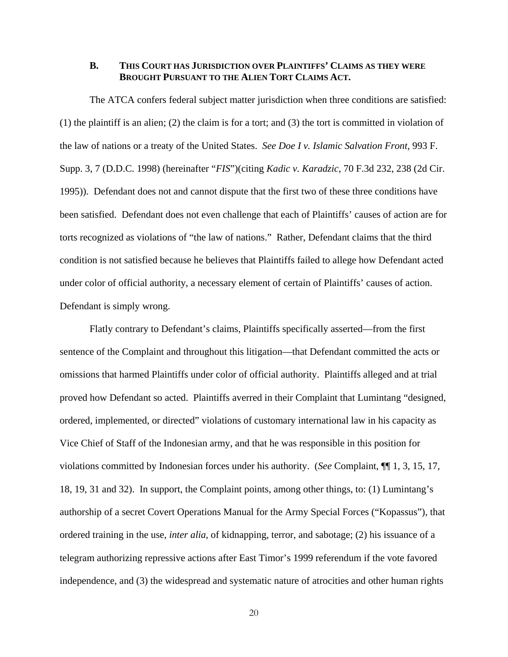#### **B. THIS COURT HAS JURISDICTION OVER PLAINTIFFS' CLAIMS AS THEY WERE BROUGHT PURSUANT TO THE ALIEN TORT CLAIMS ACT.**

The ATCA confers federal subject matter jurisdiction when three conditions are satisfied: (1) the plaintiff is an alien; (2) the claim is for a tort; and (3) the tort is committed in violation of the law of nations or a treaty of the United States. *See Doe I v. Islamic Salvation Front,* 993 F. Supp. 3, 7 (D.D.C. 1998) (hereinafter "*FIS*")(citing *Kadic v. Karadzic*, 70 F.3d 232, 238 (2d Cir. 1995)). Defendant does not and cannot dispute that the first two of these three conditions have been satisfied. Defendant does not even challenge that each of Plaintiffs' causes of action are for torts recognized as violations of "the law of nations." Rather, Defendant claims that the third condition is not satisfied because he believes that Plaintiffs failed to allege how Defendant acted under color of official authority, a necessary element of certain of Plaintiffs' causes of action. Defendant is simply wrong.

Flatly contrary to Defendant's claims, Plaintiffs specifically asserted—from the first sentence of the Complaint and throughout this litigation—that Defendant committed the acts or omissions that harmed Plaintiffs under color of official authority. Plaintiffs alleged and at trial proved how Defendant so acted. Plaintiffs averred in their Complaint that Lumintang "designed, ordered, implemented, or directed" violations of customary international law in his capacity as Vice Chief of Staff of the Indonesian army, and that he was responsible in this position for violations committed by Indonesian forces under his authority. (*See* Complaint, ¶¶ 1, 3, 15, 17, 18, 19, 31 and 32). In support, the Complaint points, among other things, to: (1) Lumintang's authorship of a secret Covert Operations Manual for the Army Special Forces ("Kopassus"), that ordered training in the use, *inter alia*, of kidnapping, terror, and sabotage; (2) his issuance of a telegram authorizing repressive actions after East Timor's 1999 referendum if the vote favored independence, and (3) the widespread and systematic nature of atrocities and other human rights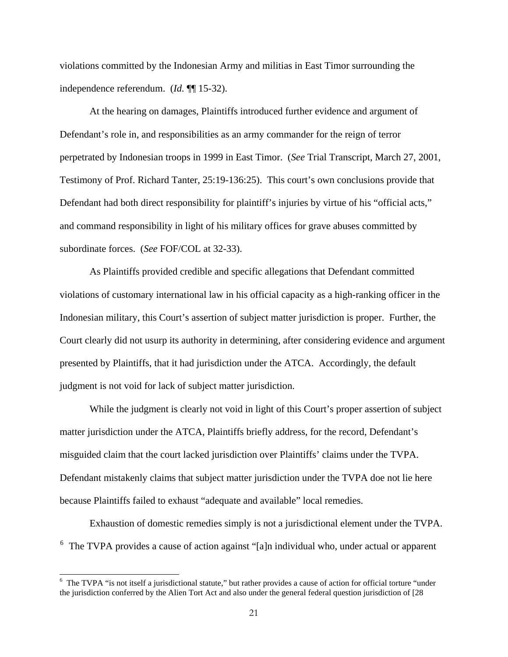violations committed by the Indonesian Army and militias in East Timor surrounding the independence referendum. (*Id.* ¶¶ 15-32).

At the hearing on damages, Plaintiffs introduced further evidence and argument of Defendant's role in, and responsibilities as an army commander for the reign of terror perpetrated by Indonesian troops in 1999 in East Timor. (*See* Trial Transcript, March 27, 2001, Testimony of Prof. Richard Tanter, 25:19-136:25). This court's own conclusions provide that Defendant had both direct responsibility for plaintiff's injuries by virtue of his "official acts," and command responsibility in light of his military offices for grave abuses committed by subordinate forces. (*See* FOF/COL at 32-33).

As Plaintiffs provided credible and specific allegations that Defendant committed violations of customary international law in his official capacity as a high-ranking officer in the Indonesian military, this Court's assertion of subject matter jurisdiction is proper. Further, the Court clearly did not usurp its authority in determining, after considering evidence and argument presented by Plaintiffs, that it had jurisdiction under the ATCA. Accordingly, the default judgment is not void for lack of subject matter jurisdiction.

While the judgment is clearly not void in light of this Court's proper assertion of subject matter jurisdiction under the ATCA, Plaintiffs briefly address, for the record, Defendant's misguided claim that the court lacked jurisdiction over Plaintiffs' claims under the TVPA. Defendant mistakenly claims that subject matter jurisdiction under the TVPA doe not lie here because Plaintiffs failed to exhaust "adequate and available" local remedies.

Exhaustion of domestic remedies simply is not a jurisdictional element under the TVPA.  $6$  The TVPA provides a cause of action against "[a]n individual who, under actual or apparent

<sup>&</sup>lt;sup>6</sup> The TVPA "is not itself a jurisdictional statute," but rather provides a cause of action for official torture "under the jurisdiction conferred by the Alien Tort Act and also under the general federal question jurisdiction of [28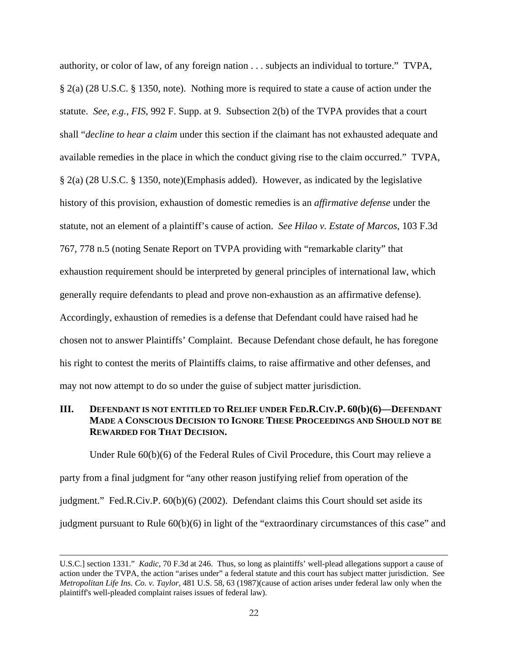authority, or color of law, of any foreign nation . . . subjects an individual to torture." TVPA, § 2(a) (28 U.S.C. § 1350, note). Nothing more is required to state a cause of action under the statute. *See, e.g.*, *FIS*, 992 F. Supp. at 9. Subsection 2(b) of the TVPA provides that a court shall "*decline to hear a claim* under this section if the claimant has not exhausted adequate and available remedies in the place in which the conduct giving rise to the claim occurred." TVPA, § 2(a) (28 U.S.C. § 1350, note)(Emphasis added). However, as indicated by the legislative history of this provision, exhaustion of domestic remedies is an *affirmative defense* under the statute, not an element of a plaintiff's cause of action. *See Hilao v. Estate of Marcos*, 103 F.3d 767, 778 n.5 (noting Senate Report on TVPA providing with "remarkable clarity" that exhaustion requirement should be interpreted by general principles of international law, which generally require defendants to plead and prove non-exhaustion as an affirmative defense). Accordingly, exhaustion of remedies is a defense that Defendant could have raised had he chosen not to answer Plaintiffs' Complaint. Because Defendant chose default, he has foregone his right to contest the merits of Plaintiffs claims, to raise affirmative and other defenses, and may not now attempt to do so under the guise of subject matter jurisdiction.

## **III. DEFENDANT IS NOT ENTITLED TO RELIEF UNDER FED.R.CIV.P. 60(b)(6)—DEFENDANT MADE A CONSCIOUS DECISION TO IGNORE THESE PROCEEDINGS AND SHOULD NOT BE REWARDED FOR THAT DECISION.**

 Under Rule 60(b)(6) of the Federal Rules of Civil Procedure, this Court may relieve a party from a final judgment for "any other reason justifying relief from operation of the judgment." Fed.R.Civ.P. 60(b)(6) (2002). Defendant claims this Court should set aside its judgment pursuant to Rule 60(b)(6) in light of the "extraordinary circumstances of this case" and

<span id="page-21-0"></span>U.S.C.] section 1331." *Kadic*, 70 F.3d at 246. Thus, so long as plaintiffs' well-plead allegations support a cause of action under the TVPA, the action "arises under" a federal statute and this court has subject matter jurisdiction. See *Metropolitan Life Ins. Co. v. Taylor,* 481 U.S. 58, 63 (1987)(cause of action arises under federal law only when the plaintiff's well-pleaded complaint raises issues of federal law).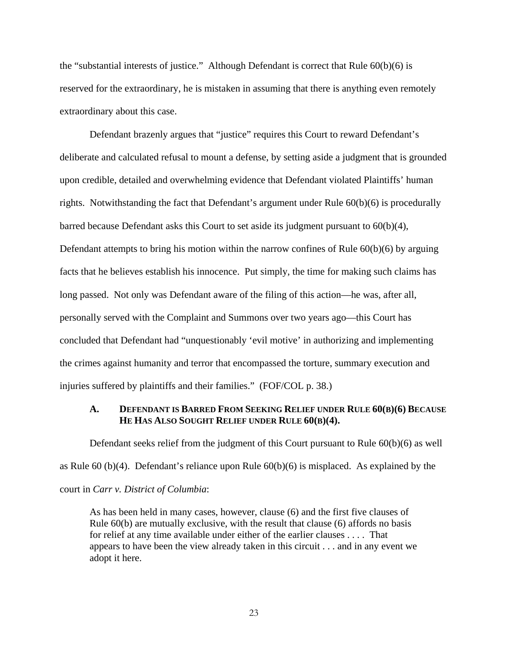the "substantial interests of justice." Although Defendant is correct that Rule 60(b)(6) is reserved for the extraordinary, he is mistaken in assuming that there is anything even remotely extraordinary about this case.

 Defendant brazenly argues that "justice" requires this Court to reward Defendant's deliberate and calculated refusal to mount a defense, by setting aside a judgment that is grounded upon credible, detailed and overwhelming evidence that Defendant violated Plaintiffs' human rights. Notwithstanding the fact that Defendant's argument under Rule 60(b)(6) is procedurally barred because Defendant asks this Court to set aside its judgment pursuant to 60(b)(4), Defendant attempts to bring his motion within the narrow confines of Rule  $60(b)(6)$  by arguing facts that he believes establish his innocence. Put simply, the time for making such claims has long passed. Not only was Defendant aware of the filing of this action—he was, after all, personally served with the Complaint and Summons over two years ago—this Court has concluded that Defendant had "unquestionably 'evil motive' in authorizing and implementing the crimes against humanity and terror that encompassed the torture, summary execution and injuries suffered by plaintiffs and their families." (FOF/COL p. 38.)

#### **A. DEFENDANT IS BARRED FROM SEEKING RELIEF UNDER RULE 60(B)(6) BECAUSE HE HAS ALSO SOUGHT RELIEF UNDER RULE 60(B)(4).**

Defendant seeks relief from the judgment of this Court pursuant to Rule 60(b)(6) as well as Rule 60 (b)(4). Defendant's reliance upon Rule 60(b)(6) is misplaced. As explained by the court in *Carr v. District of Columbia*:

As has been held in many cases, however, clause (6) and the first five clauses of Rule 60(b) are mutually exclusive, with the result that clause (6) affords no basis for relief at any time available under either of the earlier clauses . . . . That appears to have been the view already taken in this circuit . . . and in any event we adopt it here.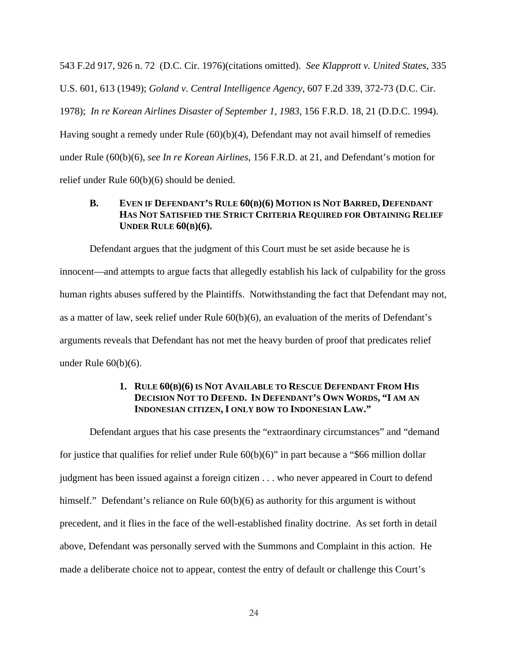543 F.2d 917, 926 n. 72 (D.C. Cir. 1976)(citations omitted). *See Klapprott v. United States*, 335 U.S. 601, 613 (1949); *Goland v. Central Intelligence Agency*, 607 F.2d 339, 372-73 (D.C. Cir. 1978); *In re Korean Airlines Disaster of September 1, 1983*, 156 F.R.D. 18, 21 (D.D.C. 1994). Having sought a remedy under Rule (60)(b)(4), Defendant may not avail himself of remedies under Rule (60(b)(6), *see In re Korean Airlines*, 156 F.R.D. at 21, and Defendant's motion for relief under Rule 60(b)(6) should be denied.

### **B. EVEN IF DEFENDANT'S RULE 60(B)(6) MOTION IS NOT BARRED, DEFENDANT HAS NOT SATISFIED THE STRICT CRITERIA REQUIRED FOR OBTAINING RELIEF UNDER RULE 60(B)(6).**

Defendant argues that the judgment of this Court must be set aside because he is innocent—and attempts to argue facts that allegedly establish his lack of culpability for the gross human rights abuses suffered by the Plaintiffs. Notwithstanding the fact that Defendant may not, as a matter of law, seek relief under Rule 60(b)(6), an evaluation of the merits of Defendant's arguments reveals that Defendant has not met the heavy burden of proof that predicates relief under Rule 60(b)(6).

## **1. RULE 60(B)(6) IS NOT AVAILABLE TO RESCUE DEFENDANT FROM HIS DECISION NOT TO DEFEND. IN DEFENDANT'S OWN WORDS, "I AM AN INDONESIAN CITIZEN, I ONLY BOW TO INDONESIAN LAW."**

Defendant argues that his case presents the "extraordinary circumstances" and "demand for justice that qualifies for relief under Rule 60(b)(6)" in part because a "\$66 million dollar judgment has been issued against a foreign citizen . . . who never appeared in Court to defend himself." Defendant's reliance on Rule  $60(b)(6)$  as authority for this argument is without precedent, and it flies in the face of the well-established finality doctrine. As set forth in detail above, Defendant was personally served with the Summons and Complaint in this action. He made a deliberate choice not to appear, contest the entry of default or challenge this Court's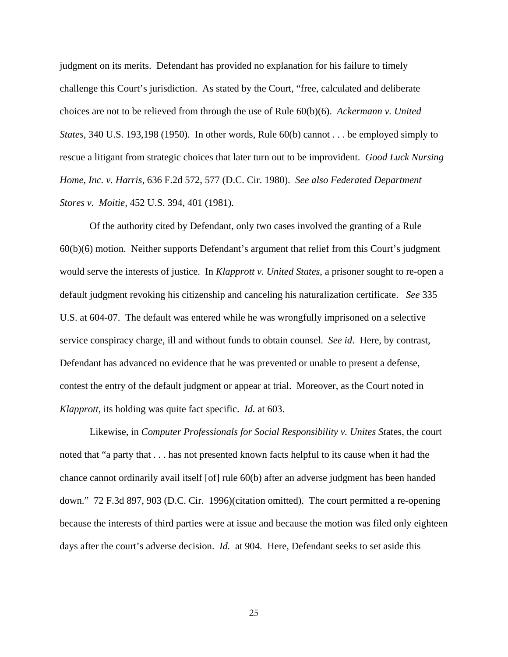judgment on its merits. Defendant has provided no explanation for his failure to timely challenge this Court's jurisdiction. As stated by the Court, "free, calculated and deliberate choices are not to be relieved from through the use of Rule 60(b)(6). *Ackermann v. United States,* 340 U.S. 193,198 (1950). In other words, Rule 60(b) cannot . . . be employed simply to rescue a litigant from strategic choices that later turn out to be improvident. *Good Luck Nursing Home, Inc. v. Harris*, 636 F.2d 572, 577 (D.C. Cir. 1980). *See also Federated Department Stores v. Moitie,* 452 U.S. 394, 401 (1981).

Of the authority cited by Defendant, only two cases involved the granting of a Rule 60(b)(6) motion. Neither supports Defendant's argument that relief from this Court's judgment would serve the interests of justice. In *Klapprott v. United States*, a prisoner sought to re-open a default judgment revoking his citizenship and canceling his naturalization certificate. *See* 335 U.S. at 604-07. The default was entered while he was wrongfully imprisoned on a selective service conspiracy charge, ill and without funds to obtain counsel. *See id*. Here, by contrast, Defendant has advanced no evidence that he was prevented or unable to present a defense, contest the entry of the default judgment or appear at trial. Moreover, as the Court noted in *Klapprott*, its holding was quite fact specific. *Id.* at 603.

 Likewise, in *Computer Professionals for Social Responsibility v. Unites St*ates, the court noted that "a party that . . . has not presented known facts helpful to its cause when it had the chance cannot ordinarily avail itself [of] rule 60(b) after an adverse judgment has been handed down." 72 F.3d 897, 903 (D.C. Cir. 1996)(citation omitted). The court permitted a re-opening because the interests of third parties were at issue and because the motion was filed only eighteen days after the court's adverse decision. *Id.* at 904. Here, Defendant seeks to set aside this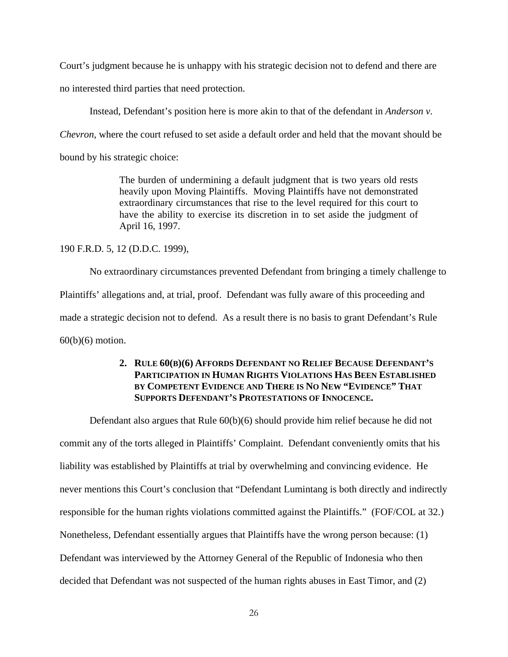Court's judgment because he is unhappy with his strategic decision not to defend and there are no interested third parties that need protection.

Instead, Defendant's position here is more akin to that of the defendant in *Anderson v.* 

*Chevron*, where the court refused to set aside a default order and held that the movant should be

bound by his strategic choice:

The burden of undermining a default judgment that is two years old rests heavily upon Moving Plaintiffs. Moving Plaintiffs have not demonstrated extraordinary circumstances that rise to the level required for this court to have the ability to exercise its discretion in to set aside the judgment of April 16, 1997.

#### 190 F.R.D. 5, 12 (D.D.C. 1999),

No extraordinary circumstances prevented Defendant from bringing a timely challenge to Plaintiffs' allegations and, at trial, proof. Defendant was fully aware of this proceeding and made a strategic decision not to defend. As a result there is no basis to grant Defendant's Rule 60(b)(6) motion.

## **2. RULE 60(B)(6) AFFORDS DEFENDANT NO RELIEF BECAUSE DEFENDANT'S PARTICIPATION IN HUMAN RIGHTS VIOLATIONS HAS BEEN ESTABLISHED BY COMPETENT EVIDENCE AND THERE IS NO NEW "EVIDENCE" THAT SUPPORTS DEFENDANT'S PROTESTATIONS OF INNOCENCE.**

Defendant also argues that Rule 60(b)(6) should provide him relief because he did not commit any of the torts alleged in Plaintiffs' Complaint. Defendant conveniently omits that his liability was established by Plaintiffs at trial by overwhelming and convincing evidence. He never mentions this Court's conclusion that "Defendant Lumintang is both directly and indirectly responsible for the human rights violations committed against the Plaintiffs." (FOF/COL at 32.) Nonetheless, Defendant essentially argues that Plaintiffs have the wrong person because: (1) Defendant was interviewed by the Attorney General of the Republic of Indonesia who then decided that Defendant was not suspected of the human rights abuses in East Timor, and (2)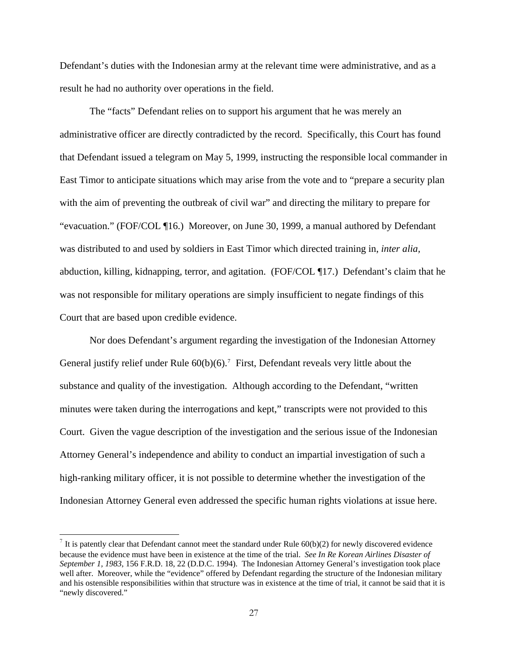Defendant's duties with the Indonesian army at the relevant time were administrative, and as a result he had no authority over operations in the field.

The "facts" Defendant relies on to support his argument that he was merely an administrative officer are directly contradicted by the record. Specifically, this Court has found that Defendant issued a telegram on May 5, 1999, instructing the responsible local commander in East Timor to anticipate situations which may arise from the vote and to "prepare a security plan with the aim of preventing the outbreak of civil war" and directing the military to prepare for "evacuation." (FOF/COL ¶16.) Moreover, on June 30, 1999, a manual authored by Defendant was distributed to and used by soldiers in East Timor which directed training in, *inter alia,*  abduction, killing, kidnapping, terror, and agitation. (FOF/COL ¶17.) Defendant's claim that he was not responsible for military operations are simply insufficient to negate findings of this Court that are based upon credible evidence.

Nor does Defendant's argument regarding the investigation of the Indonesian Attorney General justify relief under Rule  $60(b)(6)$ .<sup>7</sup> First, Defendant reveals very little about the substance and quality of the investigation. Although according to the Defendant, "written minutes were taken during the interrogations and kept," transcripts were not provided to this Court. Given the vague description of the investigation and the serious issue of the Indonesian Attorney General's independence and ability to conduct an impartial investigation of such a high-ranking military officer, it is not possible to determine whether the investigation of the Indonesian Attorney General even addressed the specific human rights violations at issue here.

<span id="page-26-0"></span> $^7$  It is patently clear that Defendant cannot meet the standard under Rule 60(b)(2) for newly discovered evidence because the evidence must have been in existence at the time of the trial. *See In Re Korean Airlines Disaster of September 1, 1983*, 156 F.R.D. 18, 22 (D.D.C. 1994). The Indonesian Attorney General's investigation took place well after. Moreover, while the "evidence" offered by Defendant regarding the structure of the Indonesian military and his ostensible responsibilities within that structure was in existence at the time of trial, it cannot be said that it is "newly discovered."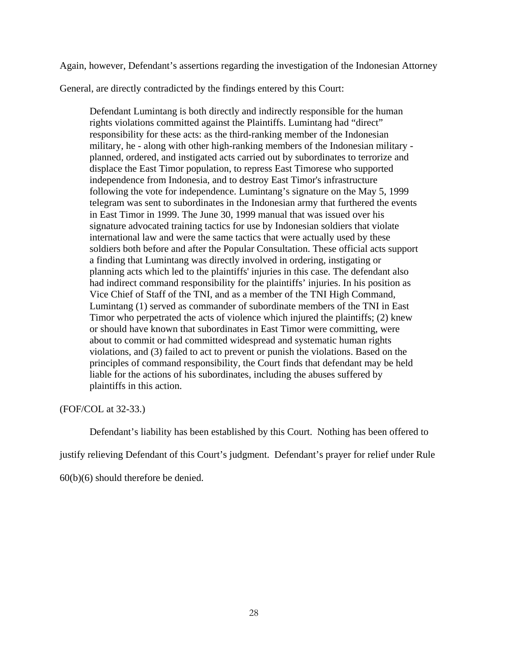Again, however, Defendant's assertions regarding the investigation of the Indonesian Attorney

General, are directly contradicted by the findings entered by this Court:

Defendant Lumintang is both directly and indirectly responsible for the human rights violations committed against the Plaintiffs. Lumintang had "direct" responsibility for these acts: as the third-ranking member of the Indonesian military, he - along with other high-ranking members of the Indonesian military planned, ordered, and instigated acts carried out by subordinates to terrorize and displace the East Timor population, to repress East Timorese who supported independence from Indonesia, and to destroy East Timor's infrastructure following the vote for independence. Lumintang's signature on the May 5, 1999 telegram was sent to subordinates in the Indonesian army that furthered the events in East Timor in 1999. The June 30, 1999 manual that was issued over his signature advocated training tactics for use by Indonesian soldiers that violate international law and were the same tactics that were actually used by these soldiers both before and after the Popular Consultation. These official acts support a finding that Lumintang was directly involved in ordering, instigating or planning acts which led to the plaintiffs' injuries in this case. The defendant also had indirect command responsibility for the plaintiffs' injuries. In his position as Vice Chief of Staff of the TNI, and as a member of the TNI High Command, Lumintang (1) served as commander of subordinate members of the TNI in East Timor who perpetrated the acts of violence which injured the plaintiffs; (2) knew or should have known that subordinates in East Timor were committing, were about to commit or had committed widespread and systematic human rights violations, and (3) failed to act to prevent or punish the violations. Based on the principles of command responsibility, the Court finds that defendant may be held liable for the actions of his subordinates, including the abuses suffered by plaintiffs in this action.

(FOF/COL at 32-33.)

Defendant's liability has been established by this Court. Nothing has been offered to

justify relieving Defendant of this Court's judgment. Defendant's prayer for relief under Rule

60(b)(6) should therefore be denied.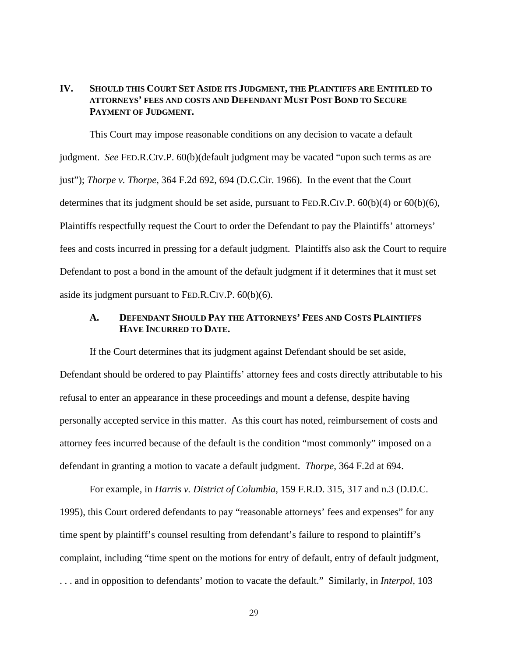## **IV. SHOULD THIS COURT SET ASIDE ITS JUDGMENT, THE PLAINTIFFS ARE ENTITLED TO ATTORNEYS' FEES AND COSTS AND DEFENDANT MUST POST BOND TO SECURE PAYMENT OF JUDGMENT.**

This Court may impose reasonable conditions on any decision to vacate a default judgment. *See* FED.R.CIV.P. 60(b)(default judgment may be vacated "upon such terms as are just"); *Thorpe v. Thorpe*, 364 F.2d 692, 694 (D.C.Cir. 1966). In the event that the Court determines that its judgment should be set aside, pursuant to FED.R.CIV.P.  $60(b)(4)$  or  $60(b)(6)$ , Plaintiffs respectfully request the Court to order the Defendant to pay the Plaintiffs' attorneys' fees and costs incurred in pressing for a default judgment. Plaintiffs also ask the Court to require Defendant to post a bond in the amount of the default judgment if it determines that it must set aside its judgment pursuant to FED.R.CIV.P. 60(b)(6).

## **A. DEFENDANT SHOULD PAY THE ATTORNEYS' FEES AND COSTS PLAINTIFFS HAVE INCURRED TO DATE.**

If the Court determines that its judgment against Defendant should be set aside, Defendant should be ordered to pay Plaintiffs' attorney fees and costs directly attributable to his refusal to enter an appearance in these proceedings and mount a defense, despite having personally accepted service in this matter. As this court has noted, reimbursement of costs and attorney fees incurred because of the default is the condition "most commonly" imposed on a defendant in granting a motion to vacate a default judgment. *Thorpe*, 364 F.2d at 694.

For example, in *Harris v. District of Columbia*, 159 F.R.D. 315, 317 and n.3 (D.D.C. 1995), this Court ordered defendants to pay "reasonable attorneys' fees and expenses" for any time spent by plaintiff's counsel resulting from defendant's failure to respond to plaintiff's complaint, including "time spent on the motions for entry of default, entry of default judgment, . . . and in opposition to defendants' motion to vacate the default." Similarly, in *Interpol*, 103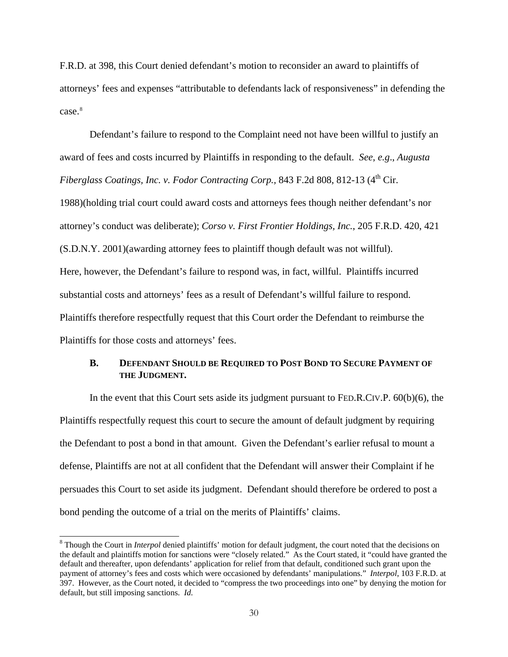F.R.D. at 398, this Court denied defendant's motion to reconsider an award to plaintiffs of attorneys' fees and expenses "attributable to defendants lack of responsiveness" in defending the case.[8](#page-29-0)

Defendant's failure to respond to the Complaint need not have been willful to justify an award of fees and costs incurred by Plaintiffs in responding to the default. *See*, *e.g*., *Augusta Fiberglass Coatings, Inc. v. Fodor Contracting Corp., 843 F.2d 808, 812-13 (4<sup>th</sup> Cir.* 1988)(holding trial court could award costs and attorneys fees though neither defendant's nor attorney's conduct was deliberate); *Corso v. First Frontier Holdings, Inc.*, 205 F.R.D. 420, 421 (S.D.N.Y. 2001)(awarding attorney fees to plaintiff though default was not willful). Here, however, the Defendant's failure to respond was, in fact, willful. Plaintiffs incurred substantial costs and attorneys' fees as a result of Defendant's willful failure to respond. Plaintiffs therefore respectfully request that this Court order the Defendant to reimburse the Plaintiffs for those costs and attorneys' fees.

### **B. DEFENDANT SHOULD BE REQUIRED TO POST BOND TO SECURE PAYMENT OF THE JUDGMENT.**

In the event that this Court sets aside its judgment pursuant to FED.R.CIV.P. 60(b)(6), the Plaintiffs respectfully request this court to secure the amount of default judgment by requiring the Defendant to post a bond in that amount. Given the Defendant's earlier refusal to mount a defense, Plaintiffs are not at all confident that the Defendant will answer their Complaint if he persuades this Court to set aside its judgment. Defendant should therefore be ordered to post a bond pending the outcome of a trial on the merits of Plaintiffs' claims.

<span id="page-29-0"></span><sup>&</sup>lt;sup>8</sup> Though the Court in *Interpol* denied plaintiffs' motion for default judgment, the court noted that the decisions on the default and plaintiffs motion for sanctions were "closely related." As the Court stated, it "could have granted the default and thereafter, upon defendants' application for relief from that default, conditioned such grant upon the payment of attorney's fees and costs which were occasioned by defendants' manipulations." *Interpol*, 103 F.R.D. at 397. However, as the Court noted, it decided to "compress the two proceedings into one" by denying the motion for default, but still imposing sanctions. *Id.*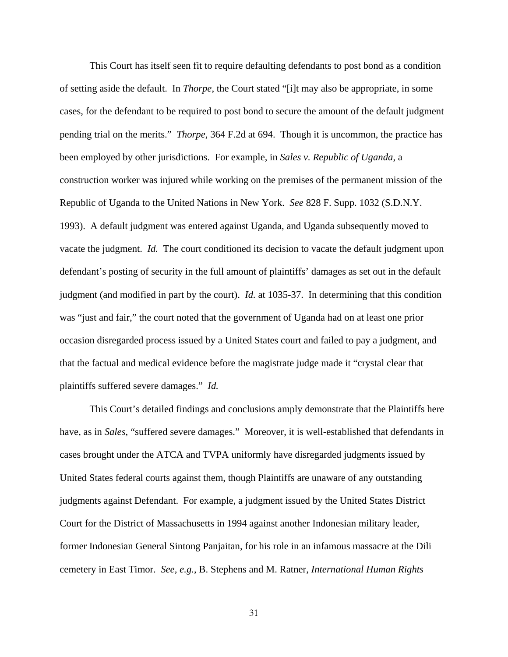This Court has itself seen fit to require defaulting defendants to post bond as a condition of setting aside the default. In *Thorpe*, the Court stated "[i]t may also be appropriate, in some cases, for the defendant to be required to post bond to secure the amount of the default judgment pending trial on the merits." *Thorpe*, 364 F.2d at 694. Though it is uncommon, the practice has been employed by other jurisdictions. For example, in *Sales v. Republic of Uganda*, a construction worker was injured while working on the premises of the permanent mission of the Republic of Uganda to the United Nations in New York. *See* 828 F. Supp. 1032 (S.D.N.Y. 1993). A default judgment was entered against Uganda, and Uganda subsequently moved to vacate the judgment. *Id.* The court conditioned its decision to vacate the default judgment upon defendant's posting of security in the full amount of plaintiffs' damages as set out in the default judgment (and modified in part by the court). *Id.* at 1035-37. In determining that this condition was "just and fair," the court noted that the government of Uganda had on at least one prior occasion disregarded process issued by a United States court and failed to pay a judgment, and that the factual and medical evidence before the magistrate judge made it "crystal clear that plaintiffs suffered severe damages." *Id.* 

This Court's detailed findings and conclusions amply demonstrate that the Plaintiffs here have, as in *Sales*, "suffered severe damages." Moreover, it is well-established that defendants in cases brought under the ATCA and TVPA uniformly have disregarded judgments issued by United States federal courts against them, though Plaintiffs are unaware of any outstanding judgments against Defendant. For example, a judgment issued by the United States District Court for the District of Massachusetts in 1994 against another Indonesian military leader, former Indonesian General Sintong Panjaitan, for his role in an infamous massacre at the Dili cemetery in East Timor. *See, e.g.*, B. Stephens and M. Ratner, *International Human Rights*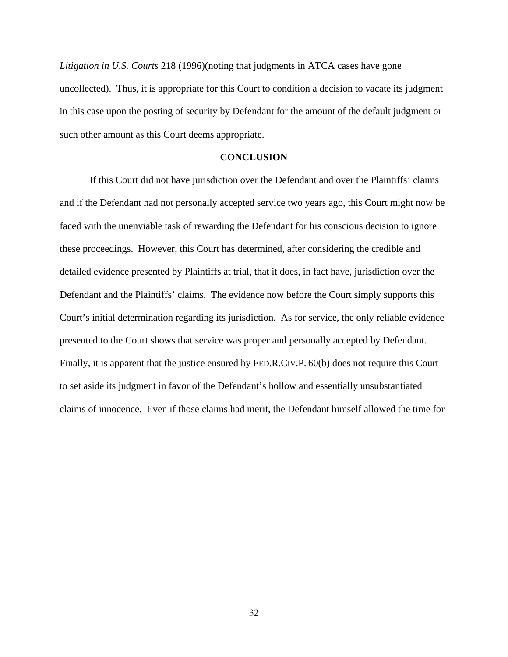*Litigation in U.S. Courts* 218 (1996)(noting that judgments in ATCA cases have gone uncollected). Thus, it is appropriate for this Court to condition a decision to vacate its judgment in this case upon the posting of security by Defendant for the amount of the default judgment or such other amount as this Court deems appropriate.

#### **CONCLUSION**

If this Court did not have jurisdiction over the Defendant and over the Plaintiffs' claims and if the Defendant had not personally accepted service two years ago, this Court might now be faced with the unenviable task of rewarding the Defendant for his conscious decision to ignore these proceedings. However, this Court has determined, after considering the credible and detailed evidence presented by Plaintiffs at trial, that it does, in fact have, jurisdiction over the Defendant and the Plaintiffs' claims. The evidence now before the Court simply supports this Court's initial determination regarding its jurisdiction. As for service, the only reliable evidence presented to the Court shows that service was proper and personally accepted by Defendant. Finally, it is apparent that the justice ensured by FED.R.CIV.P. 60(b) does not require this Court to set aside its judgment in favor of the Defendant's hollow and essentially unsubstantiated claims of innocence. Even if those claims had merit, the Defendant himself allowed the time for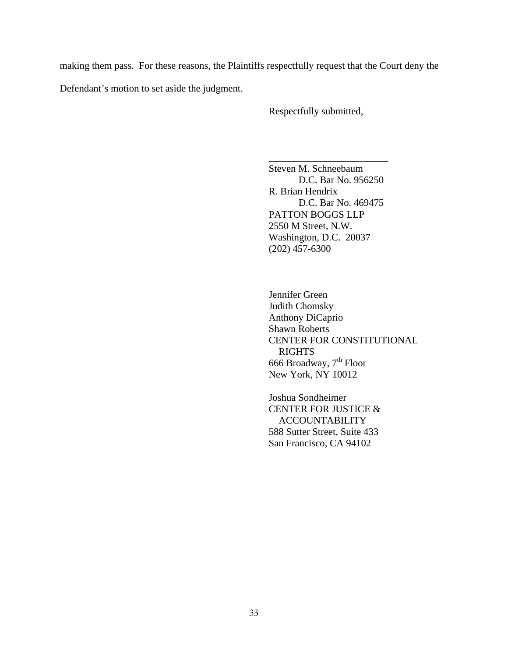making them pass. For these reasons, the Plaintiffs respectfully request that the Court deny the

Defendant's motion to set aside the judgment.

Respectfully submitted,

Steven M. Schneebaum D.C. Bar No. 956250 R. Brian Hendrix D.C. Bar No. 469475 PATTON BOGGS LLP 2550 M Street, N.W. Washington, D.C. 20037 (202) 457-6300

\_\_\_\_\_\_\_\_\_\_\_\_\_\_\_\_\_\_\_\_\_\_\_\_

Jennifer Green Judith Chomsky Anthony DiCaprio Shawn Roberts CENTER FOR CONSTITUTIONAL RIGHTS 666 Broadway, 7<sup>th</sup> Floor New York, NY 10012

 Joshua Sondheimer CENTER FOR JUSTICE & ACCOUNTABILITY 588 Sutter Street, Suite 433 San Francisco, CA 94102